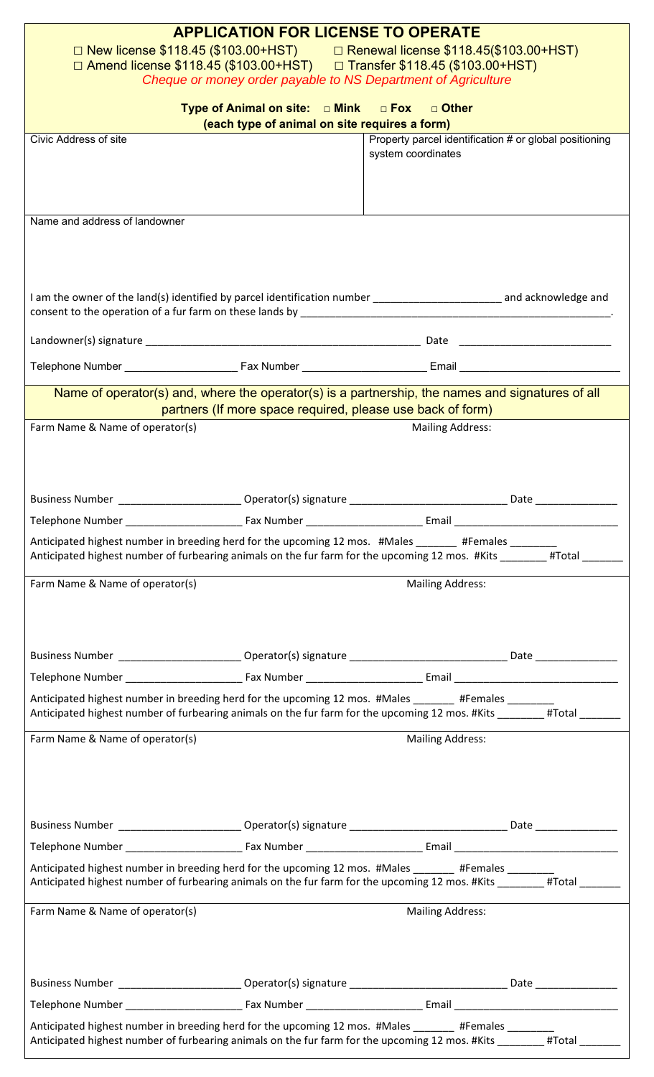| <b>APPLICATION FOR LICENSE TO OPERATE</b><br>□ Renewal license \$118.45(\$103.00+HST)<br>□ New license \$118.45 (\$103.00+HST)<br>□ Amend license \$118.45 (\$103.00+HST) □ Transfer \$118.45 (\$103.00+HST)                 |                                                            |                                                                              |                      |  |
|------------------------------------------------------------------------------------------------------------------------------------------------------------------------------------------------------------------------------|------------------------------------------------------------|------------------------------------------------------------------------------|----------------------|--|
|                                                                                                                                                                                                                              |                                                            |                                                                              |                      |  |
| Type of Animal on site: $\Box$ Mink $\Box$ Fox $\Box$ Other                                                                                                                                                                  |                                                            |                                                                              |                      |  |
|                                                                                                                                                                                                                              | (each type of animal on site requires a form)              |                                                                              |                      |  |
| Civic Address of site                                                                                                                                                                                                        |                                                            | Property parcel identification # or global positioning<br>system coordinates |                      |  |
| Name and address of landowner                                                                                                                                                                                                |                                                            |                                                                              |                      |  |
| I am the owner of the land(s) identified by parcel identification number _________________________ and acknowledge and                                                                                                       |                                                            |                                                                              |                      |  |
|                                                                                                                                                                                                                              |                                                            |                                                                              |                      |  |
|                                                                                                                                                                                                                              |                                                            |                                                                              |                      |  |
| Name of operator(s) and, where the operator(s) is a partnership, the names and signatures of all                                                                                                                             | partners (If more space required, please use back of form) |                                                                              |                      |  |
| Farm Name & Name of operator(s)                                                                                                                                                                                              |                                                            | <b>Mailing Address:</b>                                                      |                      |  |
| <b>Business Number</b>                                                                                                                                                                                                       | Operator(s) signature _                                    |                                                                              | Date                 |  |
|                                                                                                                                                                                                                              |                                                            |                                                                              |                      |  |
| Anticipated highest number in breeding herd for the upcoming 12 mos. #Males _______ #Females _______<br>Anticipated highest number of furbearing animals on the fur farm for the upcoming 12 mos. #Kits _______#Total ______ |                                                            |                                                                              |                      |  |
| Farm Name & Name of operator(s)                                                                                                                                                                                              |                                                            | <b>Mailing Address:</b>                                                      |                      |  |
|                                                                                                                                                                                                                              |                                                            |                                                                              |                      |  |
|                                                                                                                                                                                                                              |                                                            |                                                                              |                      |  |
| Anticipated highest number in breeding herd for the upcoming 12 mos. #Males ________ #Females<br>Anticipated highest number of furbearing animals on the fur farm for the upcoming 12 mos. #Kits _______#Total ______        |                                                            |                                                                              |                      |  |
| Farm Name & Name of operator(s)                                                                                                                                                                                              |                                                            | <b>Mailing Address:</b>                                                      |                      |  |
|                                                                                                                                                                                                                              |                                                            |                                                                              |                      |  |
|                                                                                                                                                                                                                              |                                                            |                                                                              |                      |  |
| Anticipated highest number in breeding herd for the upcoming 12 mos. #Males _______ #Females _______<br>Anticipated highest number of furbearing animals on the fur farm for the upcoming 12 mos. #Kits _______#Total ______ |                                                            |                                                                              |                      |  |
| Farm Name & Name of operator(s)                                                                                                                                                                                              |                                                            | <b>Mailing Address:</b>                                                      |                      |  |
| Business Number ___________________________Operator(s) signature ___________________________________                                                                                                                         |                                                            |                                                                              | Date _______________ |  |
|                                                                                                                                                                                                                              |                                                            |                                                                              |                      |  |
| Anticipated highest number in breeding herd for the upcoming 12 mos. #Males ______ #Females ____                                                                                                                             |                                                            |                                                                              |                      |  |
| Anticipated highest number of furbearing animals on the fur farm for the upcoming 12 mos. #Kits                                                                                                                              |                                                            |                                                                              | #Total               |  |